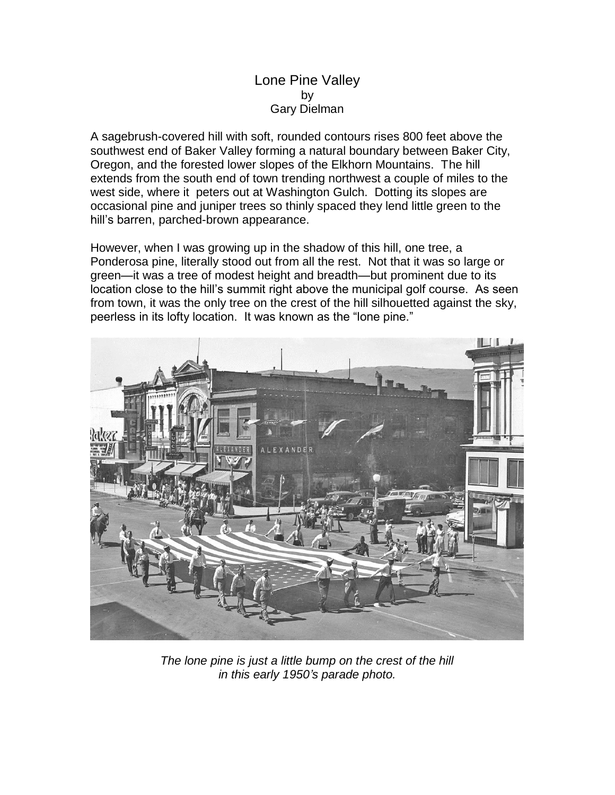## Lone Pine Valley by Gary Dielman

A sagebrush-covered hill with soft, rounded contours rises 800 feet above the southwest end of Baker Valley forming a natural boundary between Baker City, Oregon, and the forested lower slopes of the Elkhorn Mountains. The hill extends from the south end of town trending northwest a couple of miles to the west side, where it peters out at Washington Gulch. Dotting its slopes are occasional pine and juniper trees so thinly spaced they lend little green to the hill's barren, parched-brown appearance.

However, when I was growing up in the shadow of this hill, one tree, a Ponderosa pine, literally stood out from all the rest. Not that it was so large or green—it was a tree of modest height and breadth—but prominent due to its location close to the hill's summit right above the municipal golf course. As seen from town, it was the only tree on the crest of the hill silhouetted against the sky, peerless in its lofty location. It was known as the "lone pine."



*The lone pine is just a little bump on the crest of the hill in this early 1950's parade photo.*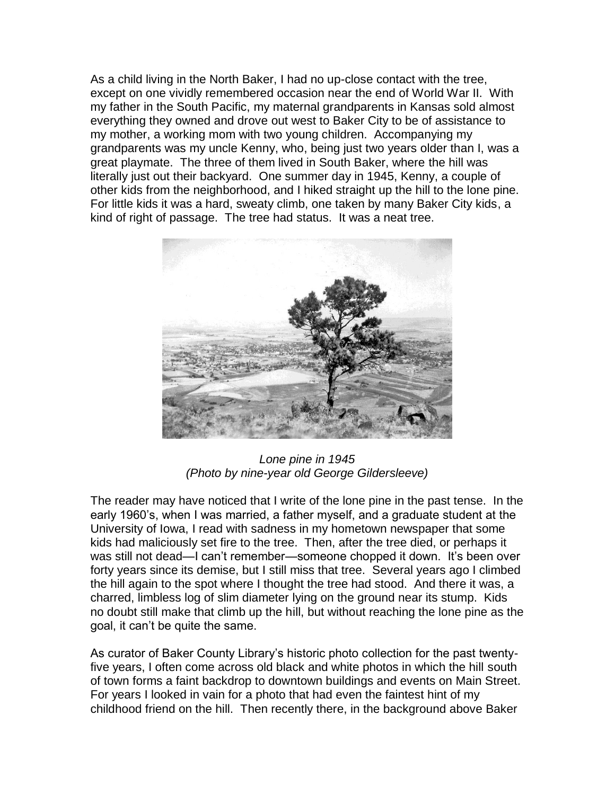As a child living in the North Baker, I had no up-close contact with the tree, except on one vividly remembered occasion near the end of World War II. With my father in the South Pacific, my maternal grandparents in Kansas sold almost everything they owned and drove out west to Baker City to be of assistance to my mother, a working mom with two young children. Accompanying my grandparents was my uncle Kenny, who, being just two years older than I, was a great playmate. The three of them lived in South Baker, where the hill was literally just out their backyard. One summer day in 1945, Kenny, a couple of other kids from the neighborhood, and I hiked straight up the hill to the lone pine. For little kids it was a hard, sweaty climb, one taken by many Baker City kids, a kind of right of passage. The tree had status. It was a neat tree.



*Lone pine in 1945 (Photo by nine-year old George Gildersleeve)*

The reader may have noticed that I write of the lone pine in the past tense. In the early 1960's, when I was married, a father myself, and a graduate student at the University of Iowa, I read with sadness in my hometown newspaper that some kids had maliciously set fire to the tree. Then, after the tree died, or perhaps it was still not dead—I can't remember—someone chopped it down. It's been over forty years since its demise, but I still miss that tree. Several years ago I climbed the hill again to the spot where I thought the tree had stood. And there it was, a charred, limbless log of slim diameter lying on the ground near its stump. Kids no doubt still make that climb up the hill, but without reaching the lone pine as the goal, it can't be quite the same.

As curator of Baker County Library's historic photo collection for the past twentyfive years, I often come across old black and white photos in which the hill south of town forms a faint backdrop to downtown buildings and events on Main Street. For years I looked in vain for a photo that had even the faintest hint of my childhood friend on the hill. Then recently there, in the background above Baker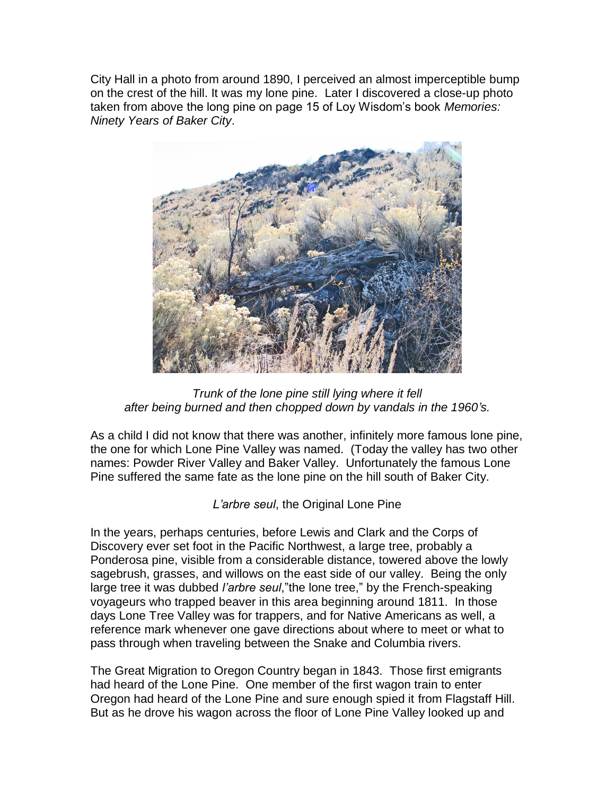City Hall in a photo from around 1890, I perceived an almost imperceptible bump on the crest of the hill. It was my lone pine. Later I discovered a close-up photo taken from above the long pine on page 15 of Loy Wisdom's book *Memories: Ninety Years of Baker City*.



*Trunk of the lone pine still lying where it fell after being burned and then chopped down by vandals in the 1960's.*

As a child I did not know that there was another, infinitely more famous lone pine, the one for which Lone Pine Valley was named. (Today the valley has two other names: Powder River Valley and Baker Valley. Unfortunately the famous Lone Pine suffered the same fate as the lone pine on the hill south of Baker City.

*L'arbre seul*, the Original Lone Pine

In the years, perhaps centuries, before Lewis and Clark and the Corps of Discovery ever set foot in the Pacific Northwest, a large tree, probably a Ponderosa pine, visible from a considerable distance, towered above the lowly sagebrush, grasses, and willows on the east side of our valley. Being the only large tree it was dubbed *l'arbre seul*,"the lone tree," by the French-speaking voyageurs who trapped beaver in this area beginning around 1811. In those days Lone Tree Valley was for trappers, and for Native Americans as well, a reference mark whenever one gave directions about where to meet or what to pass through when traveling between the Snake and Columbia rivers.

The Great Migration to Oregon Country began in 1843. Those first emigrants had heard of the Lone Pine. One member of the first wagon train to enter Oregon had heard of the Lone Pine and sure enough spied it from Flagstaff Hill. But as he drove his wagon across the floor of Lone Pine Valley looked up and